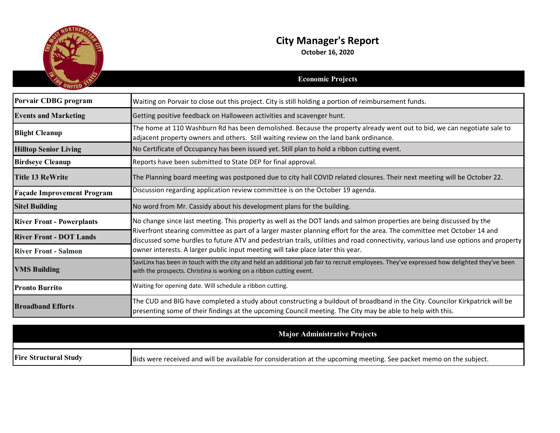

## **City Manager's Report**

**October 16, 2020**

|                                   | <b>Economic Projects</b>                                                                                                                                                                                                                                                                                                                                                                                                                                                  |
|-----------------------------------|---------------------------------------------------------------------------------------------------------------------------------------------------------------------------------------------------------------------------------------------------------------------------------------------------------------------------------------------------------------------------------------------------------------------------------------------------------------------------|
| Porvair CDBG program              | Waiting on Porvair to close out this project. City is still holding a portion of reimbursement funds.                                                                                                                                                                                                                                                                                                                                                                     |
| <b>Events and Marketing</b>       | Getting positive feedback on Halloween activities and scavenger hunt.                                                                                                                                                                                                                                                                                                                                                                                                     |
| <b>Blight Cleanup</b>             | The home at 110 Washburn Rd has been demolished. Because the property already went out to bid, we can negotiate sale to<br>adjacent property owners and others. Still waiting review on the land bank ordinance.                                                                                                                                                                                                                                                          |
| <b>Hilltop Senior Living</b>      | No Certificate of Occupancy has been issued yet. Still plan to hold a ribbon cutting event.                                                                                                                                                                                                                                                                                                                                                                               |
| <b>Birdseye Cleanup</b>           | Reports have been submitted to State DEP for final approval.                                                                                                                                                                                                                                                                                                                                                                                                              |
| <b>Title 13 ReWrite</b>           | The Planning board meeting was postponed due to city hall COVID related closures. Their next meeting will be October 22.                                                                                                                                                                                                                                                                                                                                                  |
| <b>Façade Improvement Program</b> | Discussion regarding application review committee is on the October 19 agenda.                                                                                                                                                                                                                                                                                                                                                                                            |
| <b>Sitel Building</b>             | No word from Mr. Cassidy about his development plans for the building.                                                                                                                                                                                                                                                                                                                                                                                                    |
| <b>River Front - Powerplants</b>  | No change since last meeting. This property as well as the DOT lands and salmon properties are being discussed by the<br>Riverfront stearing committee as part of a larger master planning effort for the area. The committee met October 14 and<br>discussed some hurdles to future ATV and pedestrian trails, utilities and road connectivity, various land use options and property<br>owner interests. A larger public input meeting will take place later this year. |
| <b>River Front - DOT Lands</b>    |                                                                                                                                                                                                                                                                                                                                                                                                                                                                           |
| <b>River Front - Salmon</b>       |                                                                                                                                                                                                                                                                                                                                                                                                                                                                           |
| <b>VMS Building</b>               | SaviLinx has been in touch with the city and held an additional job fair to recruit employees. They've expressed how delighted they've been<br>with the prospects. Christina is working on a ribbon cutting event.                                                                                                                                                                                                                                                        |
| <b>Pronto Burrito</b>             | Waiting for opening date. Will schedule a ribbon cutting.                                                                                                                                                                                                                                                                                                                                                                                                                 |
| <b>Broadband Efforts</b>          | The CUD and BIG have completed a study about constructing a buildout of broadband in the City. Councilor Kirkpatrick will be<br>presenting some of their findings at the upcoming Council meeting. The City may be able to help with this.                                                                                                                                                                                                                                |
|                                   |                                                                                                                                                                                                                                                                                                                                                                                                                                                                           |

|                              | <b>Major Administrative Projects</b>                                                                                |
|------------------------------|---------------------------------------------------------------------------------------------------------------------|
|                              |                                                                                                                     |
| <b>Fire Structural Study</b> | Bids were received and will be available for consideration at the upcoming meeting. See packet memo on the subject. |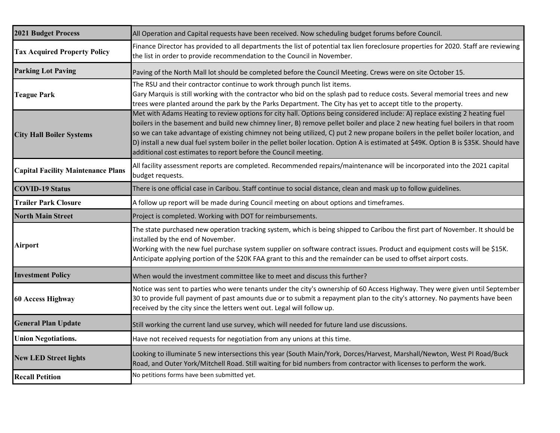| <b>2021 Budget Process</b>                | All Operation and Capital requests have been received. Now scheduling budget forums before Council.                                                                                                                                                                                                                                                                                                                                                                                                                                                                                                             |
|-------------------------------------------|-----------------------------------------------------------------------------------------------------------------------------------------------------------------------------------------------------------------------------------------------------------------------------------------------------------------------------------------------------------------------------------------------------------------------------------------------------------------------------------------------------------------------------------------------------------------------------------------------------------------|
| <b>Tax Acquired Property Policy</b>       | Finance Director has provided to all departments the list of potential tax lien foreclosure properties for 2020. Staff are reviewing<br>the list in order to provide recommendation to the Council in November.                                                                                                                                                                                                                                                                                                                                                                                                 |
| <b>Parking Lot Paving</b>                 | Paving of the North Mall lot should be completed before the Council Meeting. Crews were on site October 15.                                                                                                                                                                                                                                                                                                                                                                                                                                                                                                     |
| <b>Teague Park</b>                        | The RSU and their contractor continue to work through punch list items.<br>Gary Marquis is still working with the contractor who bid on the splash pad to reduce costs. Several memorial trees and new<br>trees were planted around the park by the Parks Department. The City has yet to accept title to the property.                                                                                                                                                                                                                                                                                         |
| <b>City Hall Boiler Systems</b>           | Met with Adams Heating to review options for city hall. Options being considered include: A) replace existing 2 heating fuel<br>boilers in the basement and build new chimney liner, B) remove pellet boiler and place 2 new heating fuel boilers in that room<br>so we can take advantage of existing chimney not being utilized, C) put 2 new propane boilers in the pellet boiler location, and<br>D) install a new dual fuel system boiler in the pellet boiler location. Option A is estimated at \$49K. Option B is \$35K. Should have<br>additional cost estimates to report before the Council meeting. |
| <b>Capital Facility Maintenance Plans</b> | All facility assessment reports are completed. Recommended repairs/maintenance will be incorporated into the 2021 capital<br>budget requests.                                                                                                                                                                                                                                                                                                                                                                                                                                                                   |
| <b>COVID-19 Status</b>                    | There is one official case in Caribou. Staff continue to social distance, clean and mask up to follow guidelines.                                                                                                                                                                                                                                                                                                                                                                                                                                                                                               |
| <b>Trailer Park Closure</b>               | A follow up report will be made during Council meeting on about options and timeframes.                                                                                                                                                                                                                                                                                                                                                                                                                                                                                                                         |
| <b>North Main Street</b>                  | Project is completed. Working with DOT for reimbursements.                                                                                                                                                                                                                                                                                                                                                                                                                                                                                                                                                      |
| Airport                                   | The state purchased new operation tracking system, which is being shipped to Caribou the first part of November. It should be<br>installed by the end of November.<br>Working with the new fuel purchase system supplier on software contract issues. Product and equipment costs will be \$15K.<br>Anticipate applying portion of the \$20K FAA grant to this and the remainder can be used to offset airport costs.                                                                                                                                                                                           |
| <b>Investment Policy</b>                  | When would the investment committee like to meet and discuss this further?                                                                                                                                                                                                                                                                                                                                                                                                                                                                                                                                      |
| 60 Access Highway                         | Notice was sent to parties who were tenants under the city's ownership of 60 Access Highway. They were given until September<br>30 to provide full payment of past amounts due or to submit a repayment plan to the city's attorney. No payments have been<br>received by the city since the letters went out. Legal will follow up.                                                                                                                                                                                                                                                                            |
| <b>General Plan Update</b>                | Still working the current land use survey, which will needed for future land use discussions.                                                                                                                                                                                                                                                                                                                                                                                                                                                                                                                   |
| <b>Union Negotiations.</b>                | Have not received requests for negotiation from any unions at this time.                                                                                                                                                                                                                                                                                                                                                                                                                                                                                                                                        |
| <b>New LED Street lights</b>              | Looking to illuminate 5 new intersections this year (South Main/York, Dorces/Harvest, Marshall/Newton, West PI Road/Buck<br>Road, and Outer York/Mitchell Road. Still waiting for bid numbers from contractor with licenses to perform the work.                                                                                                                                                                                                                                                                                                                                                                |
| <b>Recall Petition</b>                    | No petitions forms have been submitted yet.                                                                                                                                                                                                                                                                                                                                                                                                                                                                                                                                                                     |